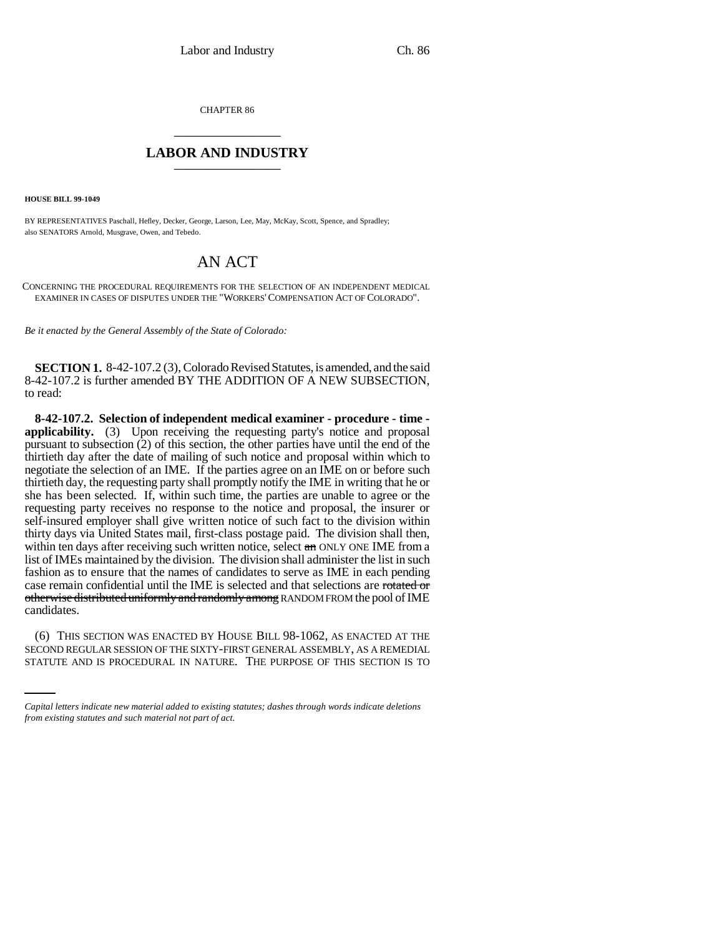CHAPTER 86 \_\_\_\_\_\_\_\_\_\_\_\_\_\_\_

## **LABOR AND INDUSTRY** \_\_\_\_\_\_\_\_\_\_\_\_\_\_\_

**HOUSE BILL 99-1049** 

BY REPRESENTATIVES Paschall, Hefley, Decker, George, Larson, Lee, May, McKay, Scott, Spence, and Spradley; also SENATORS Arnold, Musgrave, Owen, and Tebedo.

## AN ACT

CONCERNING THE PROCEDURAL REQUIREMENTS FOR THE SELECTION OF AN INDEPENDENT MEDICAL EXAMINER IN CASES OF DISPUTES UNDER THE "WORKERS'COMPENSATION ACT OF COLORADO".

*Be it enacted by the General Assembly of the State of Colorado:*

**SECTION 1.** 8-42-107.2 (3), Colorado Revised Statutes, is amended, and the said 8-42-107.2 is further amended BY THE ADDITION OF A NEW SUBSECTION, to read:

**8-42-107.2. Selection of independent medical examiner - procedure - time applicability.** (3) Upon receiving the requesting party's notice and proposal pursuant to subsection (2) of this section, the other parties have until the end of the thirtieth day after the date of mailing of such notice and proposal within which to negotiate the selection of an IME. If the parties agree on an IME on or before such thirtieth day, the requesting party shall promptly notify the IME in writing that he or she has been selected. If, within such time, the parties are unable to agree or the requesting party receives no response to the notice and proposal, the insurer or self-insured employer shall give written notice of such fact to the division within thirty days via United States mail, first-class postage paid. The division shall then, within ten days after receiving such written notice, select an ONLY ONE IME from a list of IMEs maintained by the division. The division shall administer the list in such fashion as to ensure that the names of candidates to serve as IME in each pending case remain confidential until the IME is selected and that selections are rotated or otherwise distributed uniformly and randomly among RANDOM FROM the pool of IME candidates.

(6) THIS SECTION WAS ENACTED BY HOUSE BILL 98-1062, AS ENACTED AT THE SECOND REGULAR SESSION OF THE SIXTY-FIRST GENERAL ASSEMBLY, AS A REMEDIAL STATUTE AND IS PROCEDURAL IN NATURE. THE PURPOSE OF THIS SECTION IS TO

*Capital letters indicate new material added to existing statutes; dashes through words indicate deletions from existing statutes and such material not part of act.*